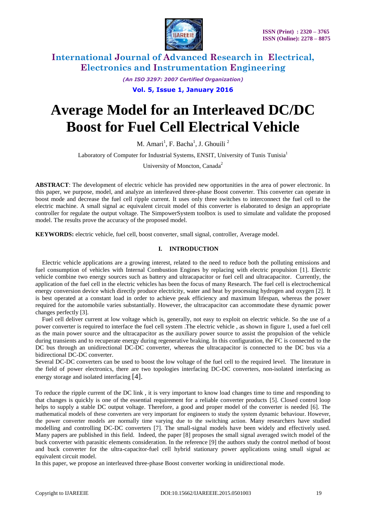

*(An ISO 3297: 2007 Certified Organization)*

**Vol. 5, Issue 1, January 2016**

# **Average Model for an Interleaved DC/DC Boost for Fuel Cell Electrical Vehicle**

M. Amari<sup>1</sup>, F. Bacha<sup>1</sup>, J. Ghouili<sup>2</sup>

Laboratory of Computer for Industrial Systems, ENSIT, University of Tunis Tunisia<sup>1</sup>

University of Moncton, Canada<sup>2</sup>

**ABSTRACT**: The development of electric vehicle has provided new opportunities in the area of power electronic. In this paper, we purpose, model, and analyze an interleaved three-phase Boost converter. This converter can operate in boost mode and decrease the fuel cell ripple current. It uses only three switches to interconnect the fuel cell to the electric machine. A small signal ac equivalent circuit model of this converter is elaborated to design an appropriate controller for regulate the output voltage. The SimpowerSystem toolbox is used to simulate and validate the proposed model. The results prove the accuracy of the proposed model.

**KEYWORDS:** electric vehicle, fuel cell, boost converter, small signal, controller, Average model.

#### **I. INTRODUCTION**

Electric vehicle applications are a growing interest, related to the need to reduce both the polluting emissions and fuel consumption of vehicles with Internal Combustion Engines by replacing with electric propulsion [1]. Electric vehicle combine two energy sources such as battery and ultracapacitor or fuel cell and ultracapacitor. Currently, the application of the fuel cell in the electric vehicles has been the focus of many Research. The fuel cell is electrochemical energy conversion device which directly produce electricity, water and heat by processing hydrogen and oxygen [2]. It is best operated at a constant load in order to achieve peak efficiency and maximum lifespan, whereas the power required for the automobile varies substantially. However, the ultracapacitor can accommodate these dynamic power changes perfectly [3].

Fuel cell deliver current at low voltage which is, generally, not easy to exploit on electric vehicle. So the use of a power converter is required to interface the fuel cell system .The electric vehicle , as shown in figure 1, used a fuel cell as the main power source and the ultracapacitor as the auxiliary power source to assist the propulsion of the vehicle during transients and to recuperate energy during regenerative braking. In this configuration, the FC is connected to the DC bus through an unidirectional DC-DC converter, whereas the ultracapacitor is connected to the DC bus via a bidirectional DC-DC converter.

Several DC-DC converters can be used to boost the low voltage of the fuel cell to the required level. The literature in the field of power electronics, there are two topologies interfacing DC-DC converters, non-isolated interfacing as energy storage and isolated interfacing [4].

To reduce the ripple current of the DC link , it is very important to know load changes time to time and responding to that changes is quickly is one of the essential requirement for a reliable converter products [5]. Closed control loop helps to supply a stable DC output voltage. Therefore, a good and proper model of the converter is needed [6]. The mathematical models of these converters are very important for engineers to study the system dynamic behaviour. However, the power converter models are normally time varying due to the switching action. Many researchers have studied modelling and controlling DC-DC converters [7]. The small-signal models have been widely and effectively used. Many papers are published in this field. Indeed, the paper [8] proposes the small signal averaged switch model of the buck converter with parasitic elements consideration. In the reference [9] the authors study the control method of boost and buck converter for the ultra-capacitor-fuel cell hybrid stationary power applications using small signal ac equivalent circuit model.

In this paper, we propose an interleaved three-phase Boost converter working in unidirectional mode.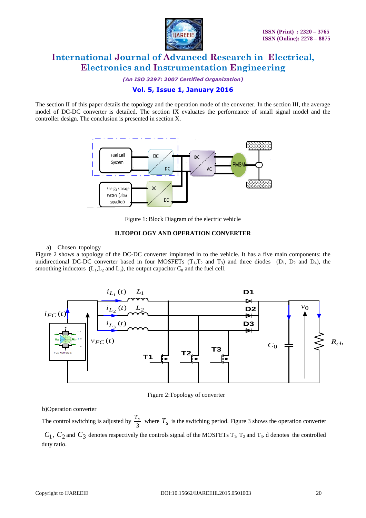

*(An ISO 3297: 2007 Certified Organization)*

## **Vol. 5, Issue 1, January 2016**

The section II of this paper details the topology and the operation mode of the converter. In the section III, the average model of DC-DC converter is detailed. The section IX evaluates the performance of small signal model and the controller design. The conclusion is presented in section X.



Figure 1: Block Diagram of the electric vehicle

#### **II.TOPOLOGY AND OPERATION CONVERTER**

#### a) Chosen topology

Figure 2 shows a topology of the DC-DC converter implanted in to the vehicle. It has a five main components: the unidirectional DC-DC converter based in four MOSFETs  $(T_1, T_2$  and  $T_3)$  and three diodes  $(D_1, D_2$  and  $D_4)$ , the smoothing inductors  $(L_1, L_2 \text{ and } L_3)$ , the output capacitor  $C_0$  and the fuel cell.



Figure 2:Topology of converter

b)Operation converter

The control switching is adjusted by  $\frac{1}{3}$  $\frac{T_s}{r^2}$  where  $T_s$  is the switching period. Figure 3 shows the operation converter  $C_1$ ,  $C_2$  and  $C_3$  denotes respectively the controls signal of the MOSFETs T<sub>1</sub>, T<sub>2</sub> and T<sub>3</sub>. d denotes the controlled duty ratio.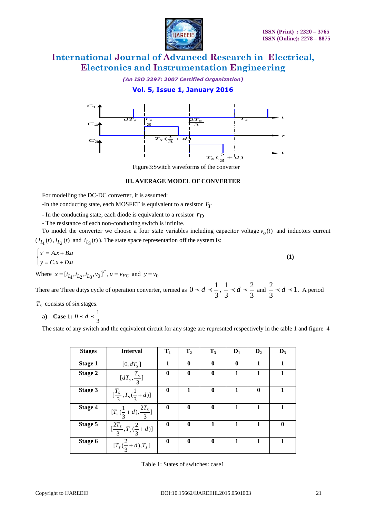

*(An ISO 3297: 2007 Certified Organization)*

## **Vol. 5, Issue 1, January 2016**



#### **III. AVERAGE MODEL OF CONVERTER**

- In the conducting state, each diode is equivalent to a resistor *rD*
- The resistance of each non-conducting switch is infinite.

$$
\begin{cases} x = A \cdot x + B \cdot u \\ y = C \cdot x + D \cdot u \end{cases} \tag{1}
$$

|                                                            |                                  |                                                                                                                                                                               | $T_s(\frac{1}{3}+d$ |                |                                    |                      |              |                |  |
|------------------------------------------------------------|----------------------------------|-------------------------------------------------------------------------------------------------------------------------------------------------------------------------------|---------------------|----------------|------------------------------------|----------------------|--------------|----------------|--|
|                                                            |                                  |                                                                                                                                                                               |                     |                |                                    | $T_s(\frac{2}{3}+d)$ |              |                |  |
|                                                            |                                  | Figure3:Switch waveforms of the converter                                                                                                                                     |                     |                |                                    |                      |              |                |  |
|                                                            |                                  | <b>III. AVERAGE MODEL OF CONVERTER</b>                                                                                                                                        |                     |                |                                    |                      |              |                |  |
|                                                            |                                  | For modelling the DC-DC converter, it is assumed:                                                                                                                             |                     |                |                                    |                      |              |                |  |
|                                                            |                                  | -In the conducting state, each MOSFET is equivalent to a resistor $r_T$                                                                                                       |                     |                |                                    |                      |              |                |  |
|                                                            |                                  | - In the conducting state, each diode is equivalent to a resistor $r_D$                                                                                                       |                     |                |                                    |                      |              |                |  |
|                                                            |                                  | - The resistance of each non-conducting switch is infinite.<br>To model the converter we choose a four state variables including capacitor voltage $vo(t)$ and inductors curr |                     |                |                                    |                      |              |                |  |
|                                                            |                                  | $(i_{L_1}(t), i_{L_2}(t)$ and $i_{L_3}(t)$ ). The state space representation off the system is:                                                                               |                     |                |                                    |                      |              |                |  |
|                                                            |                                  |                                                                                                                                                                               |                     |                |                                    |                      |              |                |  |
| $\begin{cases} x = A.x + B.u \\ y = C.x + D.u \end{cases}$ |                                  |                                                                                                                                                                               |                     |                |                                    |                      |              | (1)            |  |
|                                                            |                                  | Where $x = [i_{L_1}, i_{L_2}, i_{L_3}, v_0]^T$ , $u = v_{FC}$ and $y = v_0$                                                                                                   |                     |                |                                    |                      |              |                |  |
|                                                            |                                  |                                                                                                                                                                               |                     |                |                                    |                      |              |                |  |
|                                                            |                                  |                                                                                                                                                                               |                     |                |                                    |                      |              |                |  |
|                                                            |                                  | There are Three dutys cycle of operation converter, termed as $0 \lt d \lt \frac{1}{3}$ , $\frac{1}{3} \lt d \lt \frac{2}{3}$ and $\frac{2}{3} \lt d \lt 1$ . A period        |                     |                |                                    |                      |              |                |  |
|                                                            |                                  |                                                                                                                                                                               |                     |                |                                    |                      |              |                |  |
|                                                            | a) Case 1: $0 < d < \frac{1}{3}$ |                                                                                                                                                                               |                     |                |                                    |                      |              |                |  |
|                                                            |                                  | The state of any switch and the equivalent circuit for any stage are represnted respectively in the table 1 and figure                                                        |                     |                |                                    |                      |              |                |  |
|                                                            |                                  |                                                                                                                                                                               |                     |                |                                    |                      |              |                |  |
|                                                            | <b>Stages</b>                    | <b>Interval</b>                                                                                                                                                               | $\mathbf{T}_1$      | $\mathbf{T}_2$ | $\mathbf{T}_3$                     | $D_1$                | $D_2$        | $\mathbf{D}_3$ |  |
|                                                            | <b>Stage 1</b>                   | $[0, dT_s]$                                                                                                                                                                   | 1                   | $\bf{0}$       | $\bf{0}$                           | $\bf{0}$             | $\mathbf{1}$ | 1              |  |
|                                                            | Stage 2                          | $[dT_s,\frac{T_s}{2}]$                                                                                                                                                        | $\bf{0}$            | $\bf{0}$       | $\bf{0}$                           | 1                    | 1            | 1              |  |
|                                                            | Stage 3                          |                                                                                                                                                                               | $\boldsymbol{0}$    | $\mathbf{1}$   | $\boldsymbol{0}$                   | $\mathbf{1}$         | $\bf{0}$     | $\mathbf{1}$   |  |
|                                                            | <b>Stage 4</b>                   |                                                                                                                                                                               | $\boldsymbol{0}$    | $\bf{0}$       | $\bf{0}$                           | $\mathbf{1}$         | $\mathbf{1}$ | $\mathbf{1}$   |  |
| $T_s$ consists of six stages.                              | Stage 5                          | $\frac{[\frac{T_s}{3}, T_s(\frac{1}{3} + d)]}{[T_s(\frac{1}{3} + d), \frac{2T_s}{3}]}$                                                                                        | $\boldsymbol{0}$    | $\bf{0}$       | 1                                  | $\mathbf{1}$         | $\mathbf{1}$ | $\bf{0}$       |  |
|                                                            | Stage 6                          | $\frac{2T_s}{3}, T_s(\frac{2}{3}+d)$<br>$[T_s(\frac{2}{3}+d),T_s]$                                                                                                            | $\bf{0}$            | $\bf{0}$       | $\bf{0}$                           | $\mathbf{1}$         | $\mathbf{1}$ | $\mathbf{1}$   |  |
|                                                            |                                  |                                                                                                                                                                               |                     |                | Table 1: States of switches: case1 |                      |              |                |  |

Table 1: States of switches: case1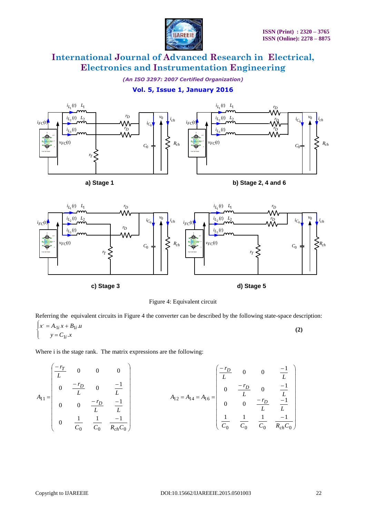

*(An ISO 3297: 2007 Certified Organization)*

## **Vol. 5, Issue 1, January 2016**





Figure 4: Equivalent circuit

Referring the equivalent circuits in Figure 4 the converter can be described by the following state-space description:

$$
\begin{cases} x = A_{1i} x + B_{1i} u \\ y = C_{1i} x \end{cases}
$$
 (2)

Where i is the stage rank. The matrix expressions are the following:

$$
A_{11} = \begin{pmatrix} \frac{-r_T}{L} & 0 & 0 & 0 \\ 0 & \frac{-r_D}{L} & 0 & \frac{-1}{L} \\ 0 & 0 & \frac{-r_D}{L} & \frac{-1}{L} \\ 0 & \frac{1}{C_0} & \frac{1}{C_0} & \frac{-1}{R_{ch}C_0} \end{pmatrix}
$$
  

$$
A_{12} = A_{14} = A_{16} = \begin{pmatrix} \frac{-r_D}{L} & 0 & 0 & \frac{-1}{L} \\ 0 & \frac{-r_D}{L} & 0 & \frac{-1}{L} \\ 0 & 0 & \frac{-r_D}{L} & \frac{-1}{L} \\ \frac{1}{C_0} & \frac{1}{C_0} & \frac{1}{C_0} & \frac{-1}{R_{ch}C_0} \end{pmatrix}
$$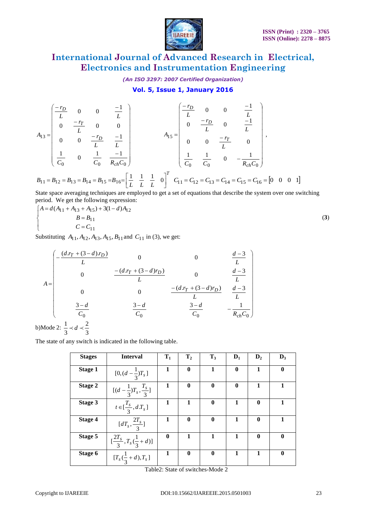

*(An ISO 3297: 2007 Certified Organization)*

## **Vol. 5, Issue 1, January 2016**

$$
A_{13} = \begin{pmatrix} -r_D & 0 & 0 & -1 \\ L & 0 & 0 & \frac{-1}{L} \\ 0 & \frac{-r_T}{L} & 0 & 0 \\ 0 & 0 & \frac{-r_D}{L} & \frac{-1}{L} \\ \frac{1}{C_0} & 0 & \frac{1}{C_0} & \frac{-1}{R_{ch}C_0} \end{pmatrix} \qquad A_{15} = \begin{pmatrix} -r_D & 0 & 0 & \frac{-1}{L} \\ L & 0 & 0 & \frac{-r_D}{L} & \frac{-1}{L} \\ 0 & \frac{-r_D}{L} & 0 & \frac{-r_T}{L} & 0 \\ 0 & 0 & \frac{-r_T}{L} & 0 \\ \frac{1}{C_0} & \frac{1}{C_0} & 0 & -\frac{1}{R_{ch}C_0} \end{pmatrix},
$$

$$
B_{11} = B_{12} = B_{13} = B_{14} = B_{15} = B_{16} = \left[\frac{1}{L} \quad \frac{1}{L} \quad \frac{1}{L} \quad 0\right]^T \quad C_{11} = C_{12} = C_{13} = C_{14} = C_{15} = C_{16} = \begin{bmatrix} 0 & 0 & 0 & 1 \end{bmatrix}
$$

State space averaging techniques are employed to get a set of equations that describe the system over one switching period. We get the following expression:

$$
A = d(A_{11} + A_{13} + A_{15}) + 3(1 - d)A_{12}
$$
  
\n
$$
B = B_{11}
$$
  
\n
$$
C = C_{11}
$$
\n(3)

Substituting  $A_{11}$ ,  $A_{12}$ ,  $A_{13}$ ,  $A_{15}$ ,  $B_{11}$  and  $C_{11}$  in (3), we get:

$$
A = \begin{pmatrix}\n-\frac{(d.r_T + (3-d).r_D)}{L} & 0 & 0 & \frac{d-3}{L} \\
0 & -\frac{(d.r_T + (3-d)r_D)}{L} & 0 & \frac{d-3}{L} \\
0 & 0 & \frac{1-(d.r_T + (3-d)r_D)}{L} & \frac{d-3}{L} \\
\frac{3-d}{C_0} & \frac{3-d}{C_0} & \frac{3-d}{C_0} & -\frac{1}{R_{ch}C_0}\n\end{pmatrix}
$$
\nMode 2:  $\frac{1}{2} \prec d \prec \frac{2}{2}$ 

 $b)$ 3 3

 $\overline{\phantom{a}}$  $\mathfrak{c}$ 

 $\vert$ ₹  $\int$ 

The state of any switch is indicated in the following table.

| <b>Stages</b>  | <b>Interval</b>                                   | $\mathbf{T}_1$   | $\mathbf{T}_2$   | $T_3$    | $\mathbf{D}_1$ | $\mathbf{D}_2$ | $D_3$            |
|----------------|---------------------------------------------------|------------------|------------------|----------|----------------|----------------|------------------|
| <b>Stage 1</b> | $[0, (d - \frac{1}{3})T_s]$                       | 1                | $\mathbf{0}$     | 1        | $\bf{0}$       | 1              | $\bf{0}$         |
| Stage 2        | $[(d-\frac{1}{3})T_s,\frac{I_s}{3}]$              | 1                | $\mathbf{0}$     | $\bf{0}$ | $\mathbf{0}$   | 1              | 1                |
| <b>Stage 3</b> | $t \in [\frac{T_s}{3}, dT_s]$                     | 1                |                  | $\bf{0}$ |                | $\bf{0}$       |                  |
| <b>Stage 4</b> | $[dT_s,\frac{2T_s}{3}]$                           | 1                | $\mathbf{0}$     | $\bf{0}$ |                | $\bf{0}$       |                  |
| Stage 5        | $\left[\frac{2T_s}{3}, T_s(\frac{1}{3}+d)\right]$ | $\boldsymbol{0}$ |                  |          | 1              | $\bf{0}$       | $\boldsymbol{0}$ |
| Stage 6        | $[T_s(\frac{1}{3}+d),T_s]$                        | 1                | $\boldsymbol{0}$ | $\bf{0}$ | 1              | 1              | $\boldsymbol{0}$ |

Table2: State of switches-Mode 2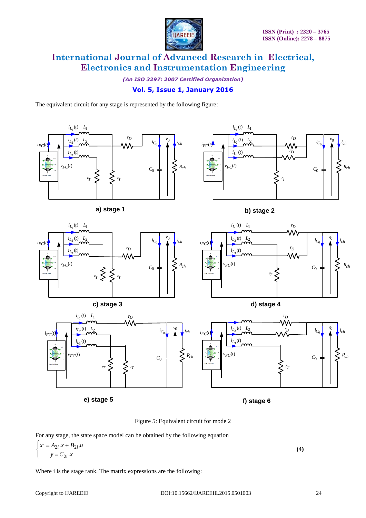

*(An ISO 3297: 2007 Certified Organization)*

## **Vol. 5, Issue 1, January 2016**

The equivalent circuit for any stage is represented by the following figure:



Figure 5: Equivalent circuit for mode 2

For any stage, the state space model can be obtained by the following equation

$$
\begin{cases} x = A_{2i} \cdot x + B_{2i} \cdot u \\ y = C_{2i} \cdot x \end{cases} \tag{4}
$$

Where i is the stage rank. The matrix expressions are the following: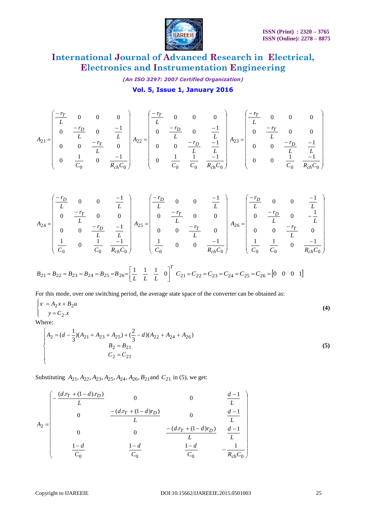

*(An ISO 3297: 2007 Certified Organization)*

**Vol. 5, Issue 1, January 2016**

$$
A_{21} = \begin{pmatrix} \frac{-r_T}{L} & 0 & 0 & 0 \\ 0 & \frac{-r_D}{L} & 0 & \frac{-1}{L} \\ 0 & 0 & \frac{-r_T}{L} & 0 \\ 0 & \frac{1}{C_0} & 0 & \frac{-1}{R_{ch}C_0} \end{pmatrix} A_{22} = \begin{pmatrix} \frac{-r_T}{L} & 0 & 0 & 0 \\ 0 & \frac{-r_D}{L} & 0 & \frac{-1}{L} \\ 0 & 0 & \frac{-r_D}{L} & \frac{-1}{L} \\ 0 & \frac{1}{C_0} & \frac{1}{C_0} & \frac{1}{C_0} & \frac{-1}{R_{ch}C_0} \end{pmatrix} A_{23} = \begin{pmatrix} \frac{-r_T}{L} & 0 & 0 & 0 \\ 0 & \frac{-r_T}{L} & 0 & 0 \\ 0 & 0 & \frac{-r_D}{L} & \frac{-1}{L} \\ 0 & 0 & \frac{1}{C_0} & \frac{-1}{R_{ch}C_0} \end{pmatrix}
$$

$$
A_{24} = \begin{pmatrix} -r_D & 0 & 0 & -1 \ L & 0 & 0 & \frac{1}{L} \\ 0 & -r_T & 0 & 0 & 0 \\ 0 & 0 & \frac{r_D}{L} & \frac{1}{L} \\ \frac{1}{C_0} & 0 & \frac{1}{C_0} & \frac{1}{R_{ch}C_0} \end{pmatrix} A_{25} = \begin{pmatrix} -r_D & 0 & 0 & -1 \ L & 0 & 0 & \frac{1}{L} \\ 0 & -r_T & 0 & 0 & 0 \\ 0 & 0 & \frac{r_D}{L} & 0 & \frac{1}{L} \\ \frac{1}{C_0} & 0 & 0 & \frac{1}{R_{ch}C_0} \end{pmatrix} A_{26} = \begin{pmatrix} -r_D & 0 & 0 & \frac{-1}{L} \\ 0 & \frac{r_D}{L} & 0 & -\frac{1}{L} \\ 0 & 0 & \frac{1}{L} & \frac{1}{C_0} \\ \frac{1}{C_0} & \frac{1}{C_0} & \frac{1}{C_0} & 0 & \frac{1}{R_{ch}C_0} \end{pmatrix}
$$

$$
B_{21} = B_{22} = B_{23} = B_{24} = B_{25} = B_{26} = \begin{bmatrix} \frac{1}{L} & \frac{1}{L} & \frac{1}{L} & 0 \end{bmatrix}^T C_{21} = C_{22} = C_{23} = C_{24} = C_{25} = C_{26} = \begin{bmatrix} 0 & 0 & 0 & 1 \end{bmatrix}
$$

For this mode, over one switching period, the average state space of the converter can be obtained as:

$$
\begin{cases} x = A_2 x + B_2 u \\ y = C_2 . x \end{cases}
$$
 (4)

Where:

$$
\begin{cases}\nA_2 = (d - \frac{1}{3})(A_{21} + A_{23} + A_{25}) + (\frac{2}{3} - d)(A_{22} + A_{24} + A_{26}) \\
B_2 = B_{21} \\
C_2 = C_{21}\n\end{cases}
$$
\n(5)

Substituting  $A_{21}$ ,  $A_{22}$ ,  $A_{23}$ ,  $A_{25}$ ,  $A_{24}$ ,  $A_{26}$ ,  $B_{21}$  and  $C_{21}$  in (5), we get:

$$
A_2 = \begin{pmatrix}\n-\frac{(d.r_T + (1-d) r_D)}{L} & 0 & 0 & \frac{d-1}{L} \\
0 & -\frac{(d.r_T + (1-d) r_D)}{L} & 0 & \frac{d-1}{L} \\
0 & 0 & \frac{-(d.r_T + (1-d) r_D)}{L} & \frac{d-1}{L} \\
\frac{1-d}{C_0} & \frac{1-d}{C_0} & \frac{1-d}{C_0} & -\frac{1}{R_{ch}C_0}\n\end{pmatrix}
$$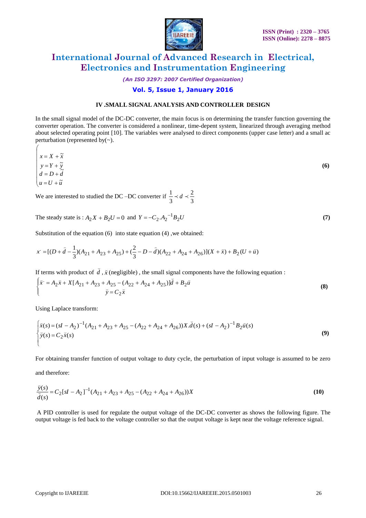

*(An ISO 3297: 2007 Certified Organization)*

## **Vol. 5, Issue 1, January 2016**

#### **IV .SMALL SIGNAL ANALYSIS AND CONTROLLER DESIGN**

In the small signal model of the DC-DC converter, the main focus is on determining the transfer function governing the converter operation. The converter is considered a nonlinear, time-depent system, linearized through averaging method about selected operating point [10]. The variables were analysed to direct components (upper case letter) and a small ac perturbation (represented by(~).

$$
\begin{cases}\n x = X + \tilde{x} \\
 y = Y + \tilde{y} \\
 d = D + \tilde{d} \\
 u = U + \tilde{u}\n\end{cases}
$$
\n(6)

We are interested to studied the DC –DC converter if  $\frac{1}{3} \prec d \prec \frac{2}{3}$ 2 3  $\frac{1}{2}$   $\prec$  d  $\prec$ 

The steady state is :  $A_2X + B_2U = 0$  and  $Y = -C_2.A_2^{-1}B_2U$  (7)

Substitution of the equation (6) into state equation (4) ,we obtained:

$$
x = [(D + \hat{d} - \frac{1}{3})(A_{21} + A_{23} + A_{25}) + (\frac{2}{3} - D - \hat{d})(A_{22} + A_{24} + A_{26})](X + \bar{x}) + B_2(U + \bar{u})
$$

If terms with product of *d* Ų

If terms with product of 
$$
\tilde{d}
$$
,  $\tilde{x}$  (negligible), the small signal components have the following equation :  
\n
$$
\begin{cases}\n\tilde{x} = A_2 \tilde{x} + X[A_{21} + A_{23} + A_{25} - (A_{22} + A_{24} + A_{25})]\tilde{d} + B_2 \tilde{u} \\
\tilde{y} = C_2 \tilde{x}\n\end{cases}
$$
\n(8)

Using Laplace transform:

Using Laplace transform:  
\n
$$
\begin{cases}\n\bar{x}(s) = (sI - A_2)^{-1} (A_{21} + A_{23} + A_{25} - (A_{22} + A_{24} + A_{26})) X \cdot \bar{d}(s) + (sI - A_2)^{-1} B_2 \bar{u}(s) \\
\bar{y}(s) = C_2 \bar{x}(s)\n\end{cases}
$$
\n(9)

For obtaining transfer function of output voltage to duty cycle, the perturbation of input voltage is assumed to be zero

and therefore:

 $\sqrt{ }$ 

$$
\frac{\tilde{y}(s)}{\tilde{d}(s)} = C_2[sI - A_2]^{-1} (A_{21} + A_{23} + A_{25} - (A_{22} + A_{24} + A_{26}))X
$$
\n(10)

A PID controller is used for regulate the output voltage of the DC-DC converter as shows the following figure. The output voltage is fed back to the voltage controller so that the output voltage is kept near the voltage reference signal.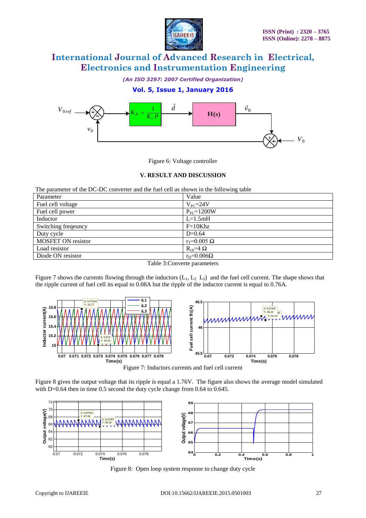

*(An ISO 3297: 2007 Certified Organization)*



Figure 6: Voltage controller

#### **V. RESULT AND DISCUSSION**

The parameter of the DC-DC converter and the fuel cell as shown in the following table

| Parameter                 | Value                |
|---------------------------|----------------------|
| Fuel cell voltage         | $V_{\text{FC}}=24V$  |
| Fuel cell power           | $P_{FC}=1200W$       |
| Inductor                  | $L=1.5mH$            |
| Switching freqeuncy       | $F=10Khz$            |
| Duty cycle                | $D=0.64$             |
| <b>MOSFET ON resistor</b> | $r_T = 0.005 \Omega$ |
| Load resistor             | $R_{ch} = 4 \Omega$  |
| Diode ON resistor         | $r_D=0.006\Omega$    |

Table 3:Converte parameters

Figure 7 shows the currents flowing through the inductors  $(L_1, L_2, L_3)$  and the fuel cell current. The shape shows that the ripple current of fuel cell its equal to 0.08A but the ripple of the inductor current is equal to 0.76A.



Figure 7: Inductors currents and fuel cell current

Figure 8 gives the output voltage that its ripple is equal a 1.76V. The figure also shows the average model simulated with D=0.64 then in time 0.5 second the duty cycle change from 0.64 to 0.645.



Figure 8: Open loop system response to change duty cycle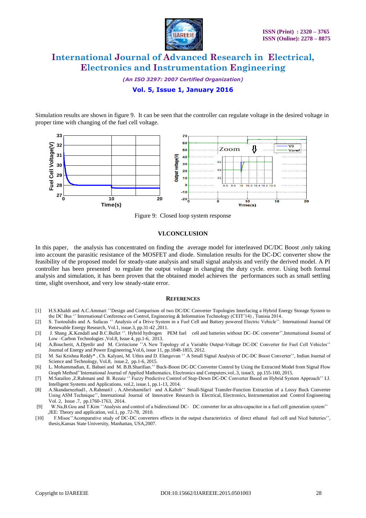

*(An ISO 3297: 2007 Certified Organization)*

## **Vol. 5, Issue 1, January 2016**

Simulation results are shown in figure 9. It can be seen that the controller can regulate voltage in the desired voltage in proper time with changing of the fuel cell voltage.



Figure 9: Closed loop system response

#### **VI.CONCLUSION**

In this paper, the analysis has concentrated on finding the average model for interleaved DC/DC Boost ,only taking into account the parasitic resistance of the MOSFET and diode. Simulation results for the DC-DC converter show the feasibility of the proposed model for steady-state analysis and small signal analysis and verify the derived model. A PI controller has been presented to regulate the output voltage in changing the duty cycle. error. Using both formal analysis and simulation, it has been proven that the obtained model achieves the performances such as small settling time, slight overshoot, and very low steady-state error.

#### **REFERENCES**

- [1] H.S.Khaldi and A.C.Ammari ""Design and Comparison of two DC/DC Converter Topologies Interfacing a Hybrid Energy Storage System to the DC Bus " International Conference on Control, Engineering & Information Technology (CEIT'14), Tunisia 2014.
- [2] S. Tsotoulidis and A. Safacas " Analysis of a Drive System in a Fuel Cell and Battery powered Electric Vehicle". International Journal Of Renewable Energy Research, Vol.1, issue.3, pp.31-42 ,2011.
- [3] J. Shang ,K.Kendall and B.C.Bullet ". Hybrid hydrogen PEM fuel cell and batteries without DC–DC converter", International Journal of Low –Carbon Technologies ,Vol.8, Issue 4, pp.1-6, 2013.
- [4] A.Boucherit, A.Djerdir and M. Cirrincione "A New Topology of a Variable Output-Voltage DC-DC Converter for Fuel Cell Vehicles" Journal of Energy and Power Engineering,Vol.6, issue 11, pp.1848-1855, 2012.
- [5] M. Sai Krishna Reddy\* , Ch. Kalyani, M. Uthra and D. Elangovan "" A Small Signal Analysis of DC-DC Boost Converter"", Indian Journal of Science and Technology, Vol.8, issue.2, pp.1-6, 2015.
- [6] L. Mohammadian, E. Babaei and M. B.B.Sharifian."" Buck-Boost DC-DC Converter Control by Using the Extracted Model from Signal Flow Graph Method""International Journal of Applied Mathematics, Electronics and Computers,vol..3, issue3, pp.155-160, 2015.
- [7] M.Sarailoo ,Z.Rahmani and B. Rezaie "Fuzzy Predictive Control of Step-Down DC-DC Converter Based on Hybrid System Approach" I.J. Intelligent Systems and Applications, vol.2, issue.1, pp.1-13, 2014.
- [8] A.Skandarnezhad1, A.Rahmati1 , A.Abrishamifar1 and A.Kalteh"" Small-Signal Transfer-Function Extraction of a Lossy Buck Converter Using ASM Technique"", International Journal of Innovative Research in Electrical, Electronics, Instrumentation and Control Engineering Vol. 2, Issue .7, pp.1760-1763, 2014.
- [9] W.Na,B.Gou and T.Kim "Analysis and control of a bidirectional DC- DC converter for an ultra-capacitor in a fuel cell generation system" ,JEE: Theory and application, vol.1, pp .72-78, 2010.
- [10] F.Misoc" Acomparative study of DC-DC converters effects in the output characteristics of direct ethanol fuel cell and Nicd batteries", thesis,Kansas State University, Manhattan, USA,2007.